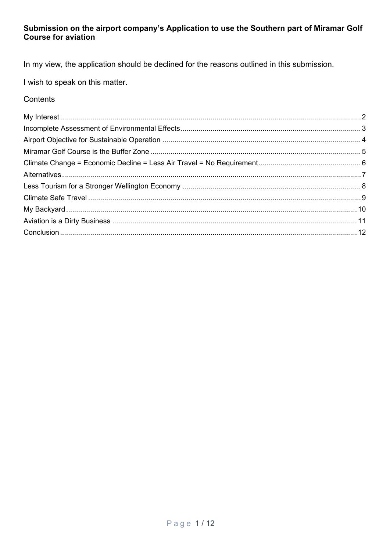### Submission on the airport company's Application to use the Southern part of Miramar Golf **Course for aviation**

In my view, the application should be declined for the reasons outlined in this submission.

I wish to speak on this matter.

## Contents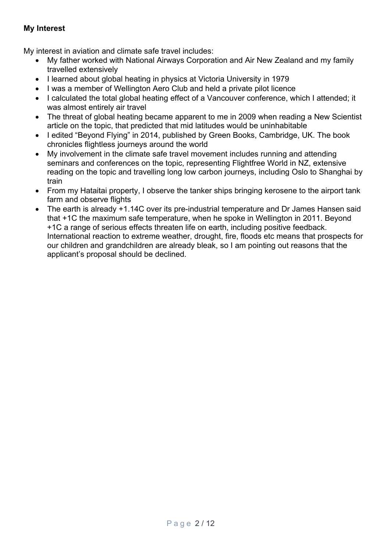## <span id="page-1-0"></span>**My Interest**

My interest in aviation and climate safe travel includes:

- My father worked with National Airways Corporation and Air New Zealand and my family travelled extensively
- I learned about global heating in physics at Victoria University in 1979
- I was a member of Wellington Aero Club and held a private pilot licence
- I calculated the total global heating effect of a Vancouver conference, which I attended; it was almost entirely air travel
- The threat of global heating became apparent to me in 2009 when reading a New Scientist article on the topic, that predicted that mid latitudes would be uninhabitable
- I edited "Beyond Flying" in 2014, published by Green Books, Cambridge, UK. The book chronicles flightless journeys around the world
- My involvement in the climate safe travel movement includes running and attending seminars and conferences on the topic, representing Flightfree World in NZ, extensive reading on the topic and travelling long low carbon journeys, including Oslo to Shanghai by train
- From my Hataitai property, I observe the tanker ships bringing kerosene to the airport tank farm and observe flights
- The earth is already +1.14C over its pre-industrial temperature and Dr James Hansen said that +1C the maximum safe temperature, when he spoke in Wellington in 2011. Beyond +1C a range of serious effects threaten life on earth, including positive feedback. International reaction to extreme weather, drought, fire, floods etc means that prospects for our children and grandchildren are already bleak, so I am pointing out reasons that the applicant's proposal should be declined.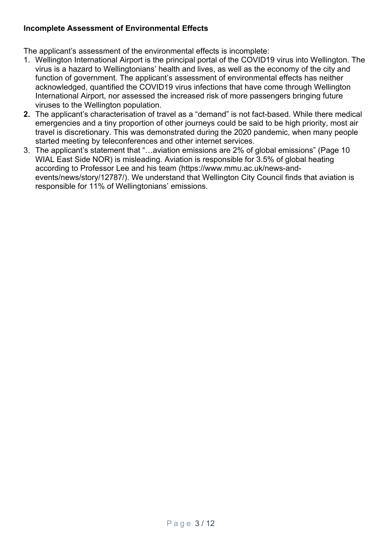## <span id="page-2-0"></span>**Incomplete Assessment of Environmental Effects**

The applicant's assessment of the environmental effects is incomplete:

- 1. Wellington International Airport is the principal portal of the COVID19 virus into Wellington. The virus is a hazard to Wellingtonians' health and lives, as well as the economy of the city and function of government. The applicant's assessment of environmental effects has neither acknowledged, quantified the COVID19 virus infections that have come through Wellington International Airport, nor assessed the increased risk of more passengers bringing future viruses to the Wellington population.
- **2.** The applicant's characterisation of travel as a "demand" is not fact-based. While there medical emergencies and a tiny proportion of other journeys could be said to be high priority, most air travel is discretionary. This was demonstrated during the 2020 pandemic, when many people started meeting by teleconferences and other internet services.
- 3. The applicant's statement that "…aviation emissions are 2% of global emissions" (Page 10 WIAL East Side NOR) is misleading. Aviation is responsible for 3.5% of global heating according to Professor Lee and his team (https://www.mmu.ac.uk/news-andevents/news/story/12787/). We understand that Wellington City Council finds that aviation is responsible for 11% of Wellingtonians' emissions.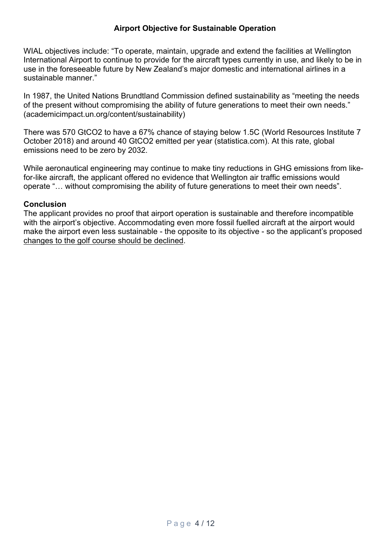### **Airport Objective for Sustainable Operation**

<span id="page-3-0"></span>WIAL objectives include: "To operate, maintain, upgrade and extend the facilities at Wellington International Airport to continue to provide for the aircraft types currently in use, and likely to be in use in the foreseeable future by New Zealand's major domestic and international airlines in a sustainable manner."

In 1987, the United Nations Brundtland Commission defined sustainability as "meeting the needs of the present without compromising the ability of future generations to meet their own needs." (academicimpact.un.org/content/sustainability)

There was 570 GtCO2 to have a 67% chance of staying below 1.5C (World Resources Institute 7 October 2018) and around 40 GtCO2 emitted per year (statistica.com). At this rate, global emissions need to be zero by 2032.

While aeronautical engineering may continue to make tiny reductions in GHG emissions from likefor-like aircraft, the applicant offered no evidence that Wellington air traffic emissions would operate "… without compromising the ability of future generations to meet their own needs".

#### **Conclusion**

The applicant provides no proof that airport operation is sustainable and therefore incompatible with the airport's objective. Accommodating even more fossil fuelled aircraft at the airport would make the airport even less sustainable - the opposite to its objective - so the applicant's proposed changes to the golf course should be declined.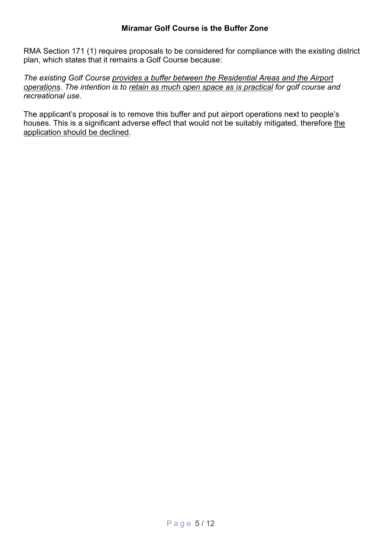<span id="page-4-0"></span>RMA Section 171 (1) requires proposals to be considered for compliance with the existing district plan, which states that it remains a Golf Course because:

*The existing Golf Course provides a buffer between the Residential Areas and the Airport operations. The intention is to retain as much open space as is practical for golf course and recreational use.*

The applicant's proposal is to remove this buffer and put airport operations next to people's houses. This is a significant adverse effect that would not be suitably mitigated, therefore the application should be declined.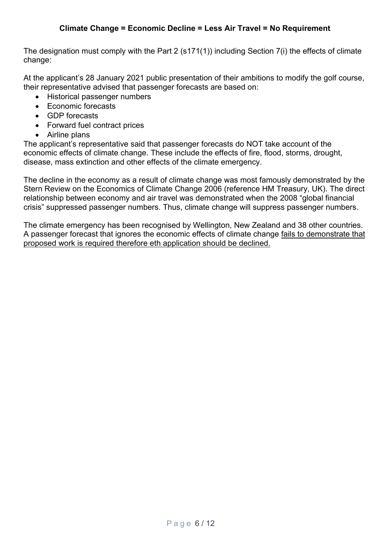## **Climate Change = Economic Decline = Less Air Travel = No Requirement**

<span id="page-5-0"></span>The designation must comply with the Part 2 (s171(1)) including Section 7(i) the effects of climate change:

At the applicant's 28 January 2021 public presentation of their ambitions to modify the golf course, their representative advised that passenger forecasts are based on:

- Historical passenger numbers
- Economic forecasts
- GDP forecasts
- Forward fuel contract prices
- Airline plans

The applicant's representative said that passenger forecasts do NOT take account of the economic effects of climate change. These include the effects of fire, flood, storms, drought, disease, mass extinction and other effects of the climate emergency.

The decline in the economy as a result of climate change was most famously demonstrated by the Stern Review on the Economics of Climate Change 2006 (reference HM Treasury, UK). The direct relationship between economy and air travel was demonstrated when the 2008 "global financial crisis" suppressed passenger numbers. Thus, climate change will suppress passenger numbers.

The climate emergency has been recognised by Wellington, New Zealand and 38 other countries. A passenger forecast that ignores the economic effects of climate change fails to demonstrate that proposed work is required therefore eth application should be declined.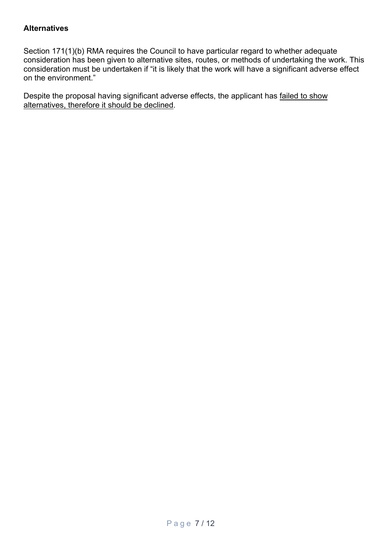### <span id="page-6-0"></span>**Alternatives**

Section 171(1)(b) RMA requires the Council to have particular regard to whether adequate consideration has been given to alternative sites, routes, or methods of undertaking the work. This consideration must be undertaken if "it is likely that the work will have a significant adverse effect on the environment."

Despite the proposal having significant adverse effects, the applicant has failed to show alternatives, therefore it should be declined.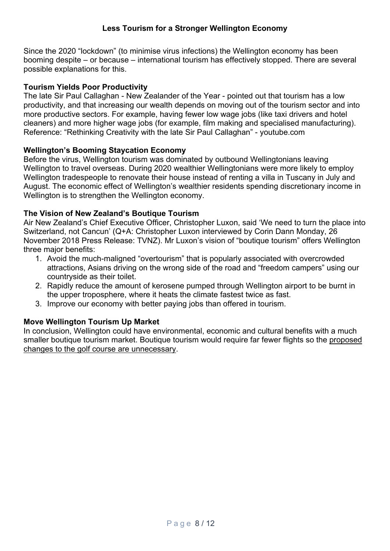## **Less Tourism for a Stronger Wellington Economy**

<span id="page-7-0"></span>Since the 2020 "lockdown" (to minimise virus infections) the Wellington economy has been booming despite – or because – international tourism has effectively stopped. There are several possible explanations for this.

## **Tourism Yields Poor Productivity**

The late Sir Paul Callaghan - New Zealander of the Year - pointed out that tourism has a low productivity, and that increasing our wealth depends on moving out of the tourism sector and into more productive sectors. For example, having fewer low wage jobs (like taxi drivers and hotel cleaners) and more higher wage jobs (for example, film making and specialised manufacturing). Reference: "Rethinking Creativity with the late Sir Paul Callaghan" - youtube.com

### **Wellington's Booming Staycation Economy**

Before the virus, Wellington tourism was dominated by outbound Wellingtonians leaving Wellington to travel overseas. During 2020 wealthier Wellingtonians were more likely to employ Wellington tradespeople to renovate their house instead of renting a villa in Tuscany in July and August. The economic effect of Wellington's wealthier residents spending discretionary income in Wellington is to strengthen the Wellington economy.

### **The Vision of New Zealand's Boutique Tourism**

Air New Zealand's Chief Executive Officer, Christopher Luxon, said 'We need to turn the place into Switzerland, not Cancun' (Q+A: Christopher Luxon interviewed by Corin Dann Monday, 26 November 2018 Press Release: [TVNZ\)](https://info.scoop.co.nz/TVNZ). Mr Luxon's vision of "boutique tourism" offers Wellington three major benefits:

- 1. Avoid the much-maligned "overtourism" that is popularly associated with overcrowded attractions, Asians driving on the wrong side of the road and "freedom campers" using our countryside as their toilet.
- 2. Rapidly reduce the amount of kerosene pumped through Wellington airport to be burnt in the upper troposphere, where it heats the climate fastest twice as fast.
- 3. Improve our economy with better paying jobs than offered in tourism.

## **Move Wellington Tourism Up Market**

In conclusion, Wellington could have environmental, economic and cultural benefits with a much smaller boutique tourism market. Boutique tourism would require far fewer flights so the proposed changes to the golf course are unnecessary.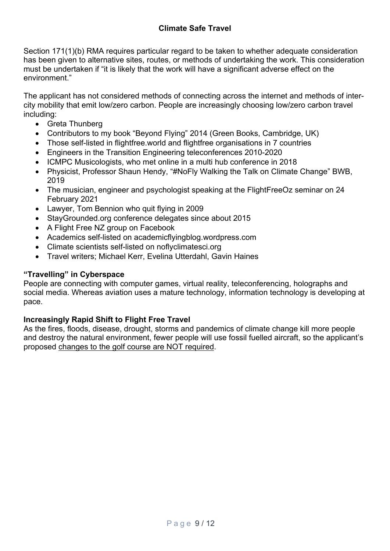# **Climate Safe Travel**

<span id="page-8-0"></span>Section 171(1)(b) RMA requires particular regard to be taken to whether adequate consideration has been given to alternative sites, routes, or methods of undertaking the work. This consideration must be undertaken if "it is likely that the work will have a significant adverse effect on the environment."

The applicant has not considered methods of connecting across the internet and methods of intercity mobility that emit low/zero carbon. People are increasingly choosing low/zero carbon travel including:

- Greta Thunberg
- Contributors to my book "Beyond Flying" 2014 (Green Books, Cambridge, UK)
- Those self-listed in flightfree.world and flightfree organisations in 7 countries
- Engineers in the Transition Engineering teleconferences 2010-2020
- ICMPC Musicologists, who met online in a multi hub conference in 2018
- Physicist, Professor Shaun Hendy, "#NoFly Walking the Talk on Climate Change" BWB, 2019
- The musician, engineer and psychologist speaking at the FlightFreeOz seminar on 24 February 2021
- Lawyer, Tom Bennion who quit flying in 2009
- StayGrounded.org conference delegates since about 2015
- A Flight Free NZ group on Facebook
- Academics self-listed on academicflyingblog.wordpress.com
- Climate scientists self-listed on noflyclimatesci.org
- Travel writers; Michael Kerr, Evelina Utterdahl, Gavin Haines

## **"Travelling" in Cyberspace**

People are connecting with computer games, virtual reality, teleconferencing, holographs and social media. Whereas aviation uses a mature technology, information technology is developing at pace.

## **Increasingly Rapid Shift to Flight Free Travel**

As the fires, floods, disease, drought, storms and pandemics of climate change kill more people and destroy the natural environment, fewer people will use fossil fuelled aircraft, so the applicant's proposed changes to the golf course are NOT required.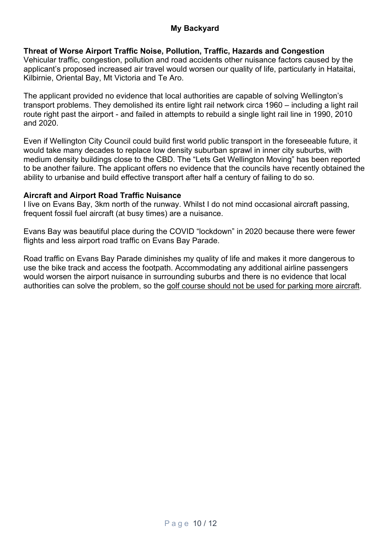## <span id="page-9-0"></span>**Threat of Worse Airport Traffic Noise, Pollution, Traffic, Hazards and Congestion**

Vehicular traffic, congestion, pollution and road accidents other nuisance factors caused by the applicant's proposed increased air travel would worsen our quality of life, particularly in Hataitai, Kilbirnie, Oriental Bay, Mt Victoria and Te Aro.

The applicant provided no evidence that local authorities are capable of solving Wellington's transport problems. They demolished its entire light rail network circa 1960 – including a light rail route right past the airport - and failed in attempts to rebuild a single light rail line in 1990, 2010 and 2020.

Even if Wellington City Council could build first world public transport in the foreseeable future, it would take many decades to replace low density suburban sprawl in inner city suburbs, with medium density buildings close to the CBD. The "Lets Get Wellington Moving" has been reported to be another failure. The applicant offers no evidence that the councils have recently obtained the ability to urbanise and build effective transport after half a century of failing to do so.

### **Aircraft and Airport Road Traffic Nuisance**

I live on Evans Bay, 3km north of the runway. Whilst I do not mind occasional aircraft passing, frequent fossil fuel aircraft (at busy times) are a nuisance.

Evans Bay was beautiful place during the COVID "lockdown" in 2020 because there were fewer flights and less airport road traffic on Evans Bay Parade.

Road traffic on Evans Bay Parade diminishes my quality of life and makes it more dangerous to use the bike track and access the footpath. Accommodating any additional airline passengers would worsen the airport nuisance in surrounding suburbs and there is no evidence that local authorities can solve the problem, so the golf course should not be used for parking more aircraft.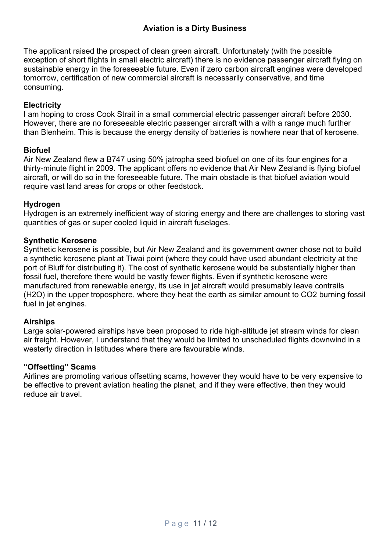## **Aviation is a Dirty Business**

<span id="page-10-0"></span>The applicant raised the prospect of clean green aircraft. Unfortunately (with the possible exception of short flights in small electric aircraft) there is no evidence passenger aircraft flying on sustainable energy in the foreseeable future. Even if zero carbon aircraft engines were developed tomorrow, certification of new commercial aircraft is necessarily conservative, and time consuming.

### **Electricity**

I am hoping to cross Cook Strait in a small commercial electric passenger aircraft before 2030. However, there are no foreseeable electric passenger aircraft with a with a range much further than Blenheim. This is because the energy density of batteries is nowhere near that of kerosene.

#### **Biofuel**

Air New Zealand flew a B747 using 50% jatropha seed biofuel on one of its four engines for a thirty-minute flight in 2009. The applicant offers no evidence that Air New Zealand is flying biofuel aircraft, or will do so in the foreseeable future. The main obstacle is that biofuel aviation would require vast land areas for crops or other feedstock.

#### **Hydrogen**

Hydrogen is an extremely inefficient way of storing energy and there are challenges to storing vast quantities of gas or super cooled liquid in aircraft fuselages.

#### **Synthetic Kerosene**

Synthetic kerosene is possible, but Air New Zealand and its government owner chose not to build a synthetic kerosene plant at Tiwai point (where they could have used abundant electricity at the port of Bluff for distributing it). The cost of synthetic kerosene would be substantially higher than fossil fuel, therefore there would be vastly fewer flights. Even if synthetic kerosene were manufactured from renewable energy, its use in jet aircraft would presumably leave contrails (H2O) in the upper troposphere, where they heat the earth as similar amount to CO2 burning fossil fuel in jet engines.

#### **Airships**

Large solar-powered airships have been proposed to ride high-altitude jet stream winds for clean air freight. However, I understand that they would be limited to unscheduled flights downwind in a westerly direction in latitudes where there are favourable winds.

#### **"Offsetting" Scams**

Airlines are promoting various offsetting scams, however they would have to be very expensive to be effective to prevent aviation heating the planet, and if they were effective, then they would reduce air travel.